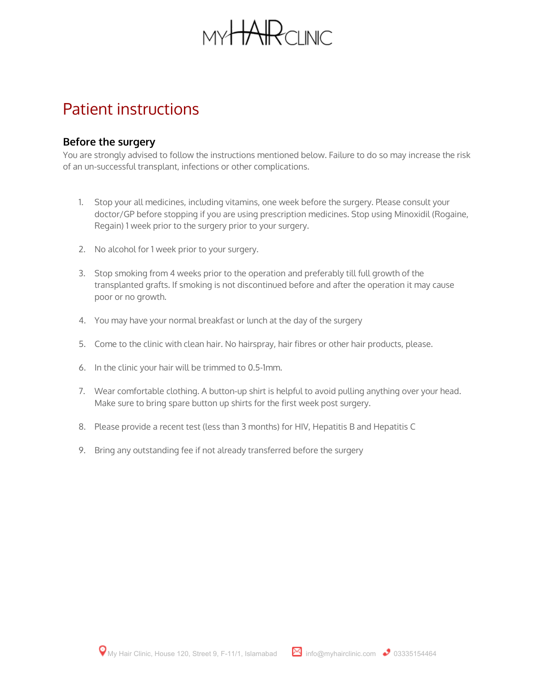

# Patient instructions

### **Before the surgery**

You are strongly advised to follow the instructions mentioned below. Failure to do so may increase the risk of an un-successful transplant, infections or other complications.

- 1. Stop your all medicines, including vitamins, one week before the surgery. Please consult your doctor/GP before stopping if you are using prescription medicines. Stop using Minoxidil (Rogaine, Regain) 1 week prior to the surgery prior to your surgery.
- 2. No alcohol for 1 week prior to your surgery.
- 3. Stop smoking from 4 weeks prior to the operation and preferably till full growth of the transplanted grafts. If smoking is not discontinued before and after the operation it may cause poor or no growth.
- 4. You may have your normal breakfast or lunch at the day of the surgery
- 5. Come to the clinic with clean hair. No hairspray, hair fibres or other hair products, please.
- 6. In the clinic your hair will be trimmed to 0.5-1mm.
- 7. Wear comfortable clothing. A button-up shirt is helpful to avoid pulling anything over your head. Make sure to bring spare button up shirts for the first week post surgery.
- 8. Please provide a recent test (less than 3 months) for HIV, Hepatitis B and Hepatitis C
- 9. Bring any outstanding fee if not already transferred before the surgery